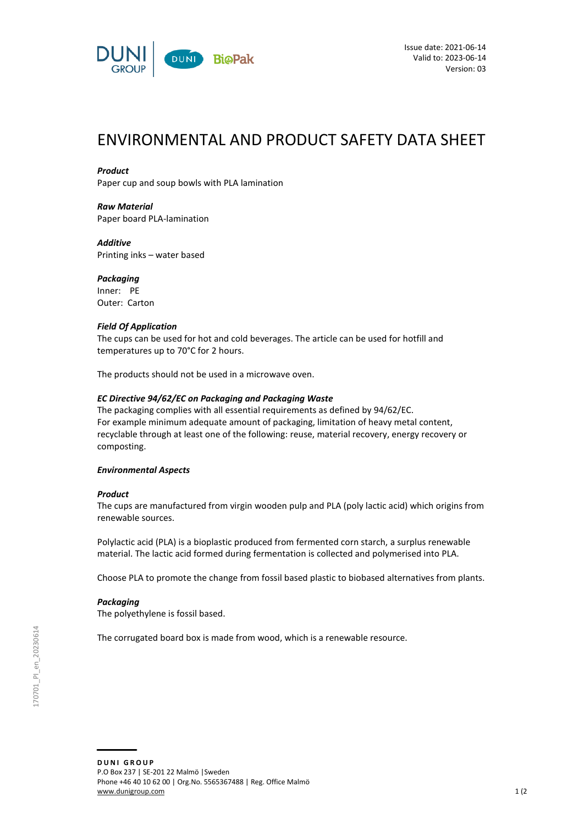

# ENVIRONMENTAL AND PRODUCT SAFETY DATA SHEET

#### *Product*

Paper cup and soup bowls with PLA lamination

*Raw Material* Paper board PLA-lamination

## *Additive*

Printing inks – water based

## *Packaging*

Inner: PE Outer: Carton

#### *Field Of Application*

The cups can be used for hot and cold beverages. The article can be used for hotfill and temperatures up to 70°C for 2 hours.

The products should not be used in a microwave oven.

#### *EC Directive 94/62/EC on Packaging and Packaging Waste*

The packaging complies with all essential requirements as defined by 94/62/EC. For example minimum adequate amount of packaging, limitation of heavy metal content, recyclable through at least one of the following: reuse, material recovery, energy recovery or composting.

## *Environmental Aspects*

## *Product*

The cups are manufactured from virgin wooden pulp and PLA (poly lactic acid) which origins from renewable sources.

Polylactic acid (PLA) is a bioplastic produced from fermented corn starch, a surplus renewable material. The lactic acid formed during fermentation is collected and polymerised into PLA.

Choose PLA to promote the change from fossil based plastic to biobased alternatives from plants.

## *Packaging*

The polyethylene is fossil based.

The corrugated board box is made from wood, which is a renewable resource.